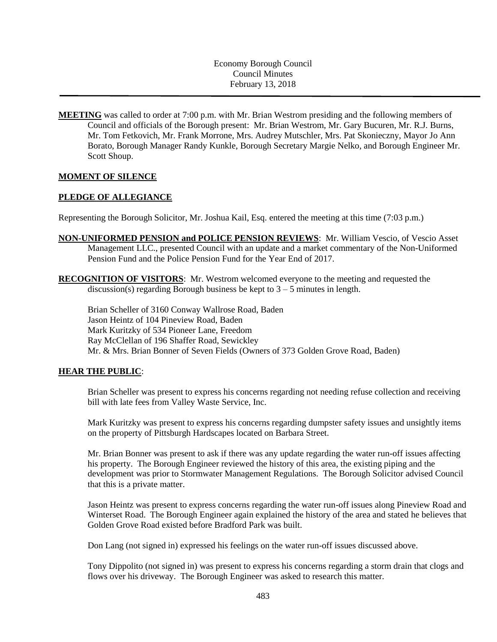Economy Borough Council Council Minutes February 13, 2018

**MEETING** was called to order at 7:00 p.m. with Mr. Brian Westrom presiding and the following members of Council and officials of the Borough present: Mr. Brian Westrom, Mr. Gary Bucuren, Mr. R.J. Burns, Mr. Tom Fetkovich, Mr. Frank Morrone, Mrs. Audrey Mutschler, Mrs. Pat Skonieczny, Mayor Jo Ann Borato, Borough Manager Randy Kunkle, Borough Secretary Margie Nelko, and Borough Engineer Mr. Scott Shoup.

### **MOMENT OF SILENCE**

### **PLEDGE OF ALLEGIANCE**

Representing the Borough Solicitor, Mr. Joshua Kail, Esq. entered the meeting at this time (7:03 p.m.)

- **NON-UNIFORMED PENSION and POLICE PENSION REVIEWS**: Mr. William Vescio, of Vescio Asset Management LLC., presented Council with an update and a market commentary of the Non-Uniformed Pension Fund and the Police Pension Fund for the Year End of 2017.
- **RECOGNITION OF VISITORS**: Mr. Westrom welcomed everyone to the meeting and requested the discussion(s) regarding Borough business be kept to  $3 - 5$  minutes in length.

Brian Scheller of 3160 Conway Wallrose Road, Baden Jason Heintz of 104 Pineview Road, Baden Mark Kuritzky of 534 Pioneer Lane, Freedom Ray McClellan of 196 Shaffer Road, Sewickley Mr. & Mrs. Brian Bonner of Seven Fields (Owners of 373 Golden Grove Road, Baden)

#### **HEAR THE PUBLIC**:

Brian Scheller was present to express his concerns regarding not needing refuse collection and receiving bill with late fees from Valley Waste Service, Inc.

Mark Kuritzky was present to express his concerns regarding dumpster safety issues and unsightly items on the property of Pittsburgh Hardscapes located on Barbara Street.

Mr. Brian Bonner was present to ask if there was any update regarding the water run-off issues affecting his property. The Borough Engineer reviewed the history of this area, the existing piping and the development was prior to Stormwater Management Regulations. The Borough Solicitor advised Council that this is a private matter.

Jason Heintz was present to express concerns regarding the water run-off issues along Pineview Road and Winterset Road. The Borough Engineer again explained the history of the area and stated he believes that Golden Grove Road existed before Bradford Park was built.

Don Lang (not signed in) expressed his feelings on the water run-off issues discussed above.

Tony Dippolito (not signed in) was present to express his concerns regarding a storm drain that clogs and flows over his driveway. The Borough Engineer was asked to research this matter.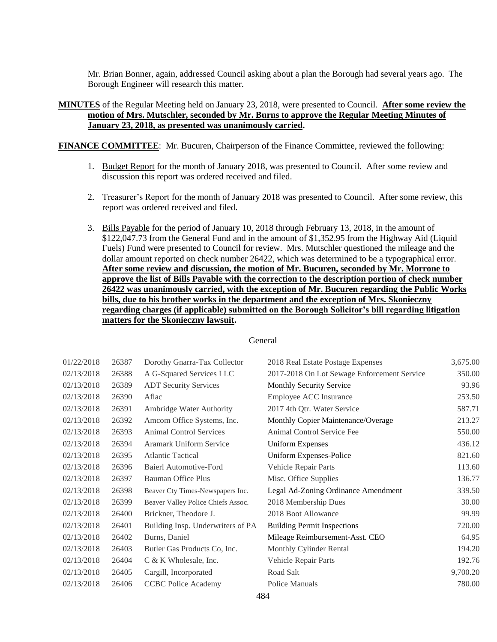Mr. Brian Bonner, again, addressed Council asking about a plan the Borough had several years ago. The Borough Engineer will research this matter.

### **MINUTES** of the Regular Meeting held on January 23, 2018, were presented to Council. **After some review the motion of Mrs. Mutschler, seconded by Mr. Burns to approve the Regular Meeting Minutes of January 23, 2018, as presented was unanimously carried.**

**FINANCE COMMITTEE**: Mr. Bucuren, Chairperson of the Finance Committee, reviewed the following:

- 1. Budget Report for the month of January 2018, was presented to Council. After some review and discussion this report was ordered received and filed.
- 2. Treasurer's Report for the month of January 2018 was presented to Council. After some review, this report was ordered received and filed.
- 3. Bills Payable for the period of January 10, 2018 through February 13, 2018, in the amount of \$122,047.73 from the General Fund and in the amount of \$1,352.95 from the Highway Aid (Liquid Fuels) Fund were presented to Council for review. Mrs. Mutschler questioned the mileage and the dollar amount reported on check number 26422, which was determined to be a typographical error. **After some review and discussion, the motion of Mr. Bucuren, seconded by Mr. Morrone to approve the list of Bills Payable with the correction to the description portion of check number 26422 was unanimously carried, with the exception of Mr. Bucuren regarding the Public Works bills, due to his brother works in the department and the exception of Mrs. Skonieczny regarding charges (if applicable) submitted on the Borough Solicitor's bill regarding litigation matters for the Skonieczny lawsuit.**

| 01/22/2018 | 26387 | Dorothy Gnarra-Tax Collector       | 2018 Real Estate Postage Expenses           | 3,675.00 |
|------------|-------|------------------------------------|---------------------------------------------|----------|
| 02/13/2018 | 26388 | A G-Squared Services LLC           | 2017-2018 On Lot Sewage Enforcement Service | 350.00   |
| 02/13/2018 | 26389 | <b>ADT Security Services</b>       | <b>Monthly Security Service</b>             | 93.96    |
| 02/13/2018 | 26390 | Aflac                              | Employee ACC Insurance                      | 253.50   |
| 02/13/2018 | 26391 | Ambridge Water Authority           | 2017 4th Qtr. Water Service                 | 587.71   |
| 02/13/2018 | 26392 | Amcom Office Systems, Inc.         | Monthly Copier Maintenance/Overage          | 213.27   |
| 02/13/2018 | 26393 | <b>Animal Control Services</b>     | Animal Control Service Fee                  | 550.00   |
| 02/13/2018 | 26394 | Aramark Uniform Service            | <b>Uniform Expenses</b>                     | 436.12   |
| 02/13/2018 | 26395 | <b>Atlantic Tactical</b>           | Uniform Expenses-Police                     | 821.60   |
| 02/13/2018 | 26396 | Baierl Automotive-Ford             | Vehicle Repair Parts                        | 113.60   |
| 02/13/2018 | 26397 | <b>Bauman Office Plus</b>          | Misc. Office Supplies                       | 136.77   |
| 02/13/2018 | 26398 | Beaver Cty Times-Newspapers Inc.   | Legal Ad-Zoning Ordinance Amendment         | 339.50   |
| 02/13/2018 | 26399 | Beaver Valley Police Chiefs Assoc. | 2018 Membership Dues                        | 30.00    |
| 02/13/2018 | 26400 | Brickner, Theodore J.              | 2018 Boot Allowance                         | 99.99    |
| 02/13/2018 | 26401 | Building Insp. Underwriters of PA  | <b>Building Permit Inspections</b>          | 720.00   |
| 02/13/2018 | 26402 | Burns, Daniel                      | Mileage Reimbursement-Asst. CEO             | 64.95    |
| 02/13/2018 | 26403 | Butler Gas Products Co, Inc.       | Monthly Cylinder Rental                     | 194.20   |
| 02/13/2018 | 26404 | $C & K$ Wholesale, Inc.            | Vehicle Repair Parts                        | 192.76   |
| 02/13/2018 | 26405 | Cargill, Incorporated              | Road Salt                                   | 9,700.20 |
| 02/13/2018 | 26406 | <b>CCBC</b> Police Academy         | Police Manuals                              | 780.00   |
|            |       |                                    | 10 A                                        |          |

#### General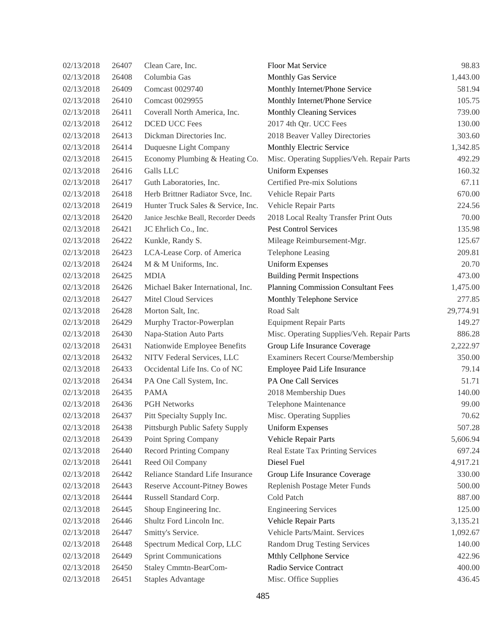| 02/13/2018 | 26407 | Clean Care, Inc.                     | <b>Floor Mat Service</b>                   | 98.83     |
|------------|-------|--------------------------------------|--------------------------------------------|-----------|
| 02/13/2018 | 26408 | Columbia Gas                         | Monthly Gas Service                        | 1,443.00  |
| 02/13/2018 | 26409 | Comcast 0029740                      | Monthly Internet/Phone Service             | 581.94    |
| 02/13/2018 | 26410 | Comcast 0029955                      | Monthly Internet/Phone Service             | 105.75    |
| 02/13/2018 | 26411 | Coverall North America, Inc.         | Monthly Cleaning Services                  | 739.00    |
| 02/13/2018 | 26412 | <b>DCED UCC Fees</b>                 | 2017 4th Qtr. UCC Fees                     | 130.00    |
| 02/13/2018 | 26413 | Dickman Directories Inc.             | 2018 Beaver Valley Directories             | 303.60    |
| 02/13/2018 | 26414 | Duquesne Light Company               | Monthly Electric Service                   | 1,342.85  |
| 02/13/2018 | 26415 | Economy Plumbing & Heating Co.       | Misc. Operating Supplies/Veh. Repair Parts | 492.29    |
| 02/13/2018 | 26416 | Galls LLC                            | <b>Uniform Expenses</b>                    | 160.32    |
| 02/13/2018 | 26417 | Guth Laboratories, Inc.              | Certified Pre-mix Solutions                | 67.11     |
| 02/13/2018 | 26418 | Herb Brittner Radiator Svce, Inc.    | Vehicle Repair Parts                       | 670.00    |
| 02/13/2018 | 26419 | Hunter Truck Sales & Service, Inc.   | Vehicle Repair Parts                       | 224.56    |
| 02/13/2018 | 26420 | Janice Jeschke Beall, Recorder Deeds | 2018 Local Realty Transfer Print Outs      | 70.00     |
| 02/13/2018 | 26421 | JC Ehrlich Co., Inc.                 | <b>Pest Control Services</b>               | 135.98    |
| 02/13/2018 | 26422 | Kunkle, Randy S.                     | Mileage Reimbursement-Mgr.                 | 125.67    |
| 02/13/2018 | 26423 | LCA-Lease Corp. of America           | Telephone Leasing                          | 209.81    |
| 02/13/2018 | 26424 | M & M Uniforms, Inc.                 | <b>Uniform Expenses</b>                    | 20.70     |
| 02/13/2018 | 26425 | <b>MDIA</b>                          | <b>Building Permit Inspections</b>         | 473.00    |
| 02/13/2018 | 26426 | Michael Baker International, Inc.    | <b>Planning Commission Consultant Fees</b> | 1,475.00  |
| 02/13/2018 | 26427 | Mitel Cloud Services                 | Monthly Telephone Service                  | 277.85    |
| 02/13/2018 | 26428 | Morton Salt, Inc.                    | Road Salt                                  | 29,774.91 |
| 02/13/2018 | 26429 | Murphy Tractor-Powerplan             | <b>Equipment Repair Parts</b>              | 149.27    |
| 02/13/2018 | 26430 | Napa-Station Auto Parts              | Misc. Operating Supplies/Veh. Repair Parts | 886.28    |
| 02/13/2018 | 26431 | Nationwide Employee Benefits         | Group Life Insurance Coverage              | 2,222.97  |
| 02/13/2018 | 26432 | NITV Federal Services, LLC           | Examiners Recert Course/Membership         | 350.00    |
| 02/13/2018 | 26433 | Occidental Life Ins. Co of NC        | Employee Paid Life Insurance               | 79.14     |
| 02/13/2018 | 26434 | PA One Call System, Inc.             | PA One Call Services                       | 51.71     |
| 02/13/2018 | 26435 | <b>PAMA</b>                          | 2018 Membership Dues                       | 140.00    |
| 02/13/2018 | 26436 | <b>PGH Networks</b>                  | Telephone Maintenance                      | 99.00     |
| 02/13/2018 | 26437 | Pitt Specialty Supply Inc.           | Misc. Operating Supplies                   | 70.62     |
| 02/13/2018 | 26438 | Pittsburgh Public Safety Supply      | <b>Uniform Expenses</b>                    | 507.28    |
| 02/13/2018 | 26439 | Point Spring Company                 | Vehicle Repair Parts                       | 5,606.94  |
| 02/13/2018 | 26440 | <b>Record Printing Company</b>       | Real Estate Tax Printing Services          | 697.24    |
| 02/13/2018 | 26441 | Reed Oil Company                     | Diesel Fuel                                | 4,917.21  |
| 02/13/2018 | 26442 | Reliance Standard Life Insurance     | Group Life Insurance Coverage              | 330.00    |
| 02/13/2018 | 26443 | <b>Reserve Account-Pitney Bowes</b>  | Replenish Postage Meter Funds              | 500.00    |
| 02/13/2018 | 26444 | Russell Standard Corp.               | Cold Patch                                 | 887.00    |
| 02/13/2018 | 26445 | Shoup Engineering Inc.               | <b>Engineering Services</b>                | 125.00    |
| 02/13/2018 | 26446 | Shultz Ford Lincoln Inc.             | Vehicle Repair Parts                       | 3,135.21  |
| 02/13/2018 | 26447 | Smitty's Service.                    | Vehicle Parts/Maint. Services              | 1,092.67  |
| 02/13/2018 | 26448 | Spectrum Medical Corp, LLC           | <b>Random Drug Testing Services</b>        | 140.00    |
| 02/13/2018 | 26449 | <b>Sprint Communications</b>         | Mthly Cellphone Service                    | 422.96    |
| 02/13/2018 | 26450 | <b>Staley Cmmtn-BearCom-</b>         | Radio Service Contract                     | 400.00    |
| 02/13/2018 | 26451 | <b>Staples Advantage</b>             | Misc. Office Supplies                      | 436.45    |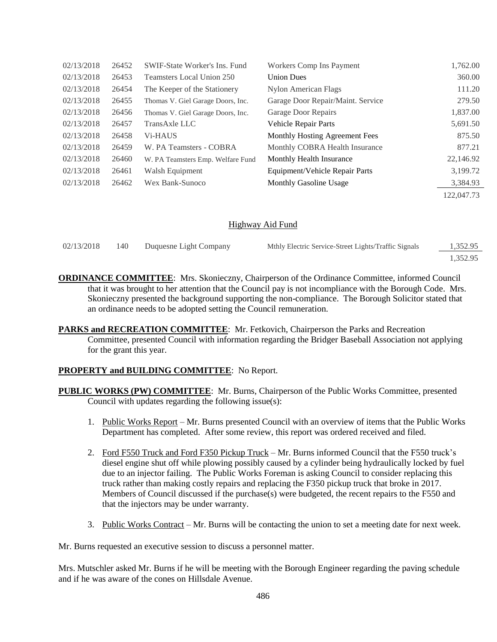| 02/13/2018 | 26452 | <b>SWIF-State Worker's Ins. Fund</b> | Workers Comp Ins Payment          | 1,762.00   |
|------------|-------|--------------------------------------|-----------------------------------|------------|
| 02/13/2018 | 26453 | Teamsters Local Union 250            | <b>Union Dues</b>                 | 360.00     |
| 02/13/2018 | 26454 | The Keeper of the Stationery         | <b>Nylon American Flags</b>       | 111.20     |
| 02/13/2018 | 26455 | Thomas V. Giel Garage Doors, Inc.    | Garage Door Repair/Maint. Service | 279.50     |
| 02/13/2018 | 26456 | Thomas V. Giel Garage Doors, Inc.    | Garage Door Repairs               | 1,837.00   |
| 02/13/2018 | 26457 | TransAxle LLC                        | <b>Vehicle Repair Parts</b>       | 5,691.50   |
| 02/13/2018 | 26458 | V <sub>i</sub> -HAUS                 | Monthly Hosting Agreement Fees    | 875.50     |
| 02/13/2018 | 26459 | W. PA Teamsters - COBRA              | Monthly COBRA Health Insurance    | 877.21     |
| 02/13/2018 | 26460 | W. PA Teamsters Emp. Welfare Fund    | Monthly Health Insurance          | 22,146.92  |
| 02/13/2018 | 26461 | Walsh Equipment                      | Equipment/Vehicle Repair Parts    | 3,199.72   |
| 02/13/2018 | 26462 | Wex Bank-Sunoco                      | <b>Monthly Gasoline Usage</b>     | 3,384.93   |
|            |       |                                      |                                   | 122.047.73 |

### Highway Aid Fund

| 02/13/2018 | 140 | Duquesne Light Company | Mthly Electric Service-Street Lights/Traffic Signals | 1,352.95 |  |
|------------|-----|------------------------|------------------------------------------------------|----------|--|
|            |     |                        |                                                      | 1.352.95 |  |

**ORDINANCE COMMITTEE**: Mrs. Skonieczny, Chairperson of the Ordinance Committee, informed Council that it was brought to her attention that the Council pay is not incompliance with the Borough Code. Mrs. Skonieczny presented the background supporting the non-compliance. The Borough Solicitor stated that an ordinance needs to be adopted setting the Council remuneration.

**PARKS and RECREATION COMMITTEE:** Mr. Fetkovich, Chairperson the Parks and Recreation Committee, presented Council with information regarding the Bridger Baseball Association not applying for the grant this year.

### **PROPERTY and BUILDING COMMITTEE**: No Report.

- **PUBLIC WORKS (PW) COMMITTEE**: Mr. Burns, Chairperson of the Public Works Committee, presented Council with updates regarding the following issue(s):
	- 1. Public Works Report Mr. Burns presented Council with an overview of items that the Public Works Department has completed. After some review, this report was ordered received and filed.
	- 2. Ford F550 Truck and Ford F350 Pickup Truck Mr. Burns informed Council that the F550 truck's diesel engine shut off while plowing possibly caused by a cylinder being hydraulically locked by fuel due to an injector failing. The Public Works Foreman is asking Council to consider replacing this truck rather than making costly repairs and replacing the F350 pickup truck that broke in 2017. Members of Council discussed if the purchase(s) were budgeted, the recent repairs to the F550 and that the injectors may be under warranty.
	- 3. Public Works Contract Mr. Burns will be contacting the union to set a meeting date for next week.

Mr. Burns requested an executive session to discuss a personnel matter.

Mrs. Mutschler asked Mr. Burns if he will be meeting with the Borough Engineer regarding the paving schedule and if he was aware of the cones on Hillsdale Avenue.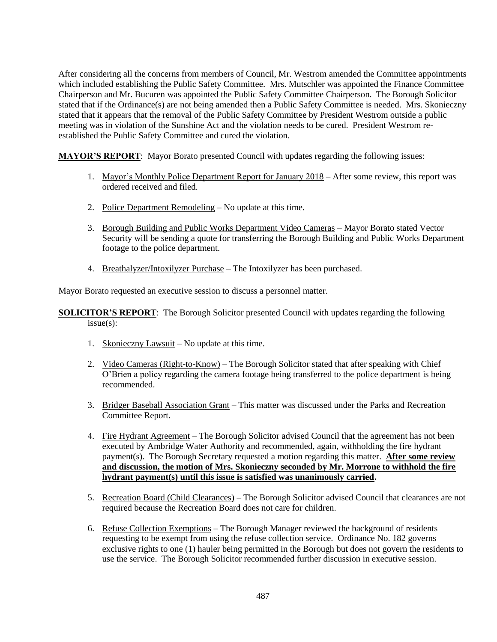After considering all the concerns from members of Council, Mr. Westrom amended the Committee appointments which included establishing the Public Safety Committee. Mrs. Mutschler was appointed the Finance Committee Chairperson and Mr. Bucuren was appointed the Public Safety Committee Chairperson. The Borough Solicitor stated that if the Ordinance(s) are not being amended then a Public Safety Committee is needed. Mrs. Skonieczny stated that it appears that the removal of the Public Safety Committee by President Westrom outside a public meeting was in violation of the Sunshine Act and the violation needs to be cured. President Westrom reestablished the Public Safety Committee and cured the violation.

**MAYOR'S REPORT**: Mayor Borato presented Council with updates regarding the following issues:

- 1. Mayor's Monthly Police Department Report for January 2018 After some review, this report was ordered received and filed.
- 2. Police Department Remodeling No update at this time.
- 3. Borough Building and Public Works Department Video Cameras Mayor Borato stated Vector Security will be sending a quote for transferring the Borough Building and Public Works Department footage to the police department.
- 4. Breathalyzer/Intoxilyzer Purchase The Intoxilyzer has been purchased.

Mayor Borato requested an executive session to discuss a personnel matter.

**SOLICITOR'S REPORT:** The Borough Solicitor presented Council with updates regarding the following issue(s):

- 1. Skonieczny Lawsuit No update at this time.
- 2. Video Cameras (Right-to-Know) The Borough Solicitor stated that after speaking with Chief O'Brien a policy regarding the camera footage being transferred to the police department is being recommended.
- 3. Bridger Baseball Association Grant This matter was discussed under the Parks and Recreation Committee Report.
- 4. Fire Hydrant Agreement The Borough Solicitor advised Council that the agreement has not been executed by Ambridge Water Authority and recommended, again, withholding the fire hydrant payment(s). The Borough Secretary requested a motion regarding this matter. **After some review and discussion, the motion of Mrs. Skonieczny seconded by Mr. Morrone to withhold the fire hydrant payment(s) until this issue is satisfied was unanimously carried.**
- 5. Recreation Board (Child Clearances) The Borough Solicitor advised Council that clearances are not required because the Recreation Board does not care for children.
- 6. Refuse Collection Exemptions The Borough Manager reviewed the background of residents requesting to be exempt from using the refuse collection service. Ordinance No. 182 governs exclusive rights to one (1) hauler being permitted in the Borough but does not govern the residents to use the service. The Borough Solicitor recommended further discussion in executive session.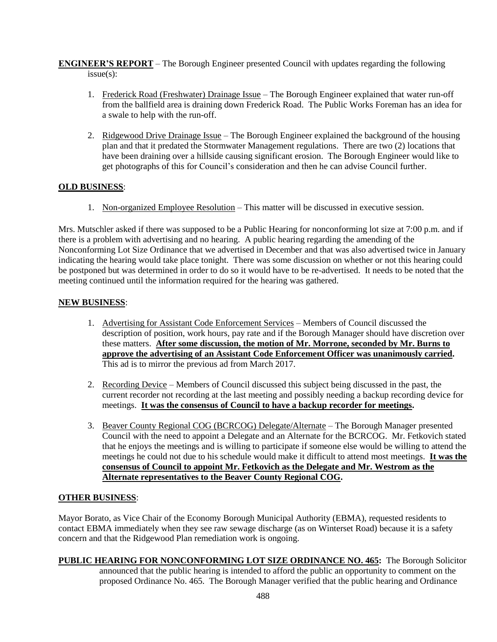**ENGINEER'S REPORT** – The Borough Engineer presented Council with updates regarding the following issue(s):

- 1. Frederick Road (Freshwater) Drainage Issue The Borough Engineer explained that water run-off from the ballfield area is draining down Frederick Road. The Public Works Foreman has an idea for a swale to help with the run-off.
- 2. Ridgewood Drive Drainage Issue The Borough Engineer explained the background of the housing plan and that it predated the Stormwater Management regulations. There are two (2) locations that have been draining over a hillside causing significant erosion. The Borough Engineer would like to get photographs of this for Council's consideration and then he can advise Council further.

# **OLD BUSINESS**:

1. Non-organized Employee Resolution – This matter will be discussed in executive session.

Mrs. Mutschler asked if there was supposed to be a Public Hearing for nonconforming lot size at 7:00 p.m. and if there is a problem with advertising and no hearing. A public hearing regarding the amending of the Nonconforming Lot Size Ordinance that we advertised in December and that was also advertised twice in January indicating the hearing would take place tonight. There was some discussion on whether or not this hearing could be postponed but was determined in order to do so it would have to be re-advertised. It needs to be noted that the meeting continued until the information required for the hearing was gathered.

# **NEW BUSINESS**:

- 1. Advertising for Assistant Code Enforcement Services Members of Council discussed the description of position, work hours, pay rate and if the Borough Manager should have discretion over these matters. **After some discussion, the motion of Mr. Morrone, seconded by Mr. Burns to approve the advertising of an Assistant Code Enforcement Officer was unanimously carried.** This ad is to mirror the previous ad from March 2017.
- 2. Recording Device Members of Council discussed this subject being discussed in the past, the current recorder not recording at the last meeting and possibly needing a backup recording device for meetings. **It was the consensus of Council to have a backup recorder for meetings.**
- 3. Beaver County Regional COG (BCRCOG) Delegate/Alternate The Borough Manager presented Council with the need to appoint a Delegate and an Alternate for the BCRCOG. Mr. Fetkovich stated that he enjoys the meetings and is willing to participate if someone else would be willing to attend the meetings he could not due to his schedule would make it difficult to attend most meetings. **It was the consensus of Council to appoint Mr. Fetkovich as the Delegate and Mr. Westrom as the Alternate representatives to the Beaver County Regional COG.**

# **OTHER BUSINESS**:

Mayor Borato, as Vice Chair of the Economy Borough Municipal Authority (EBMA), requested residents to contact EBMA immediately when they see raw sewage discharge (as on Winterset Road) because it is a safety concern and that the Ridgewood Plan remediation work is ongoing.

**PUBLIC HEARING FOR NONCONFORMING LOT SIZE ORDINANCE NO. 465:** The Borough Solicitor announced that the public hearing is intended to afford the public an opportunity to comment on the proposed Ordinance No. 465. The Borough Manager verified that the public hearing and Ordinance